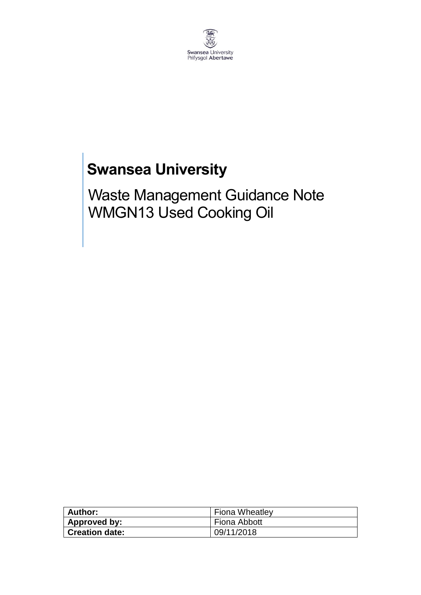

## **Swansea University**

Waste Management Guidance Note WMGN13 Used Cooking Oil

| Author:               | <b>Fiona Wheatley</b> |
|-----------------------|-----------------------|
| Approved by:          | Fiona Abbott          |
| <b>Creation date:</b> | 09/11/2018            |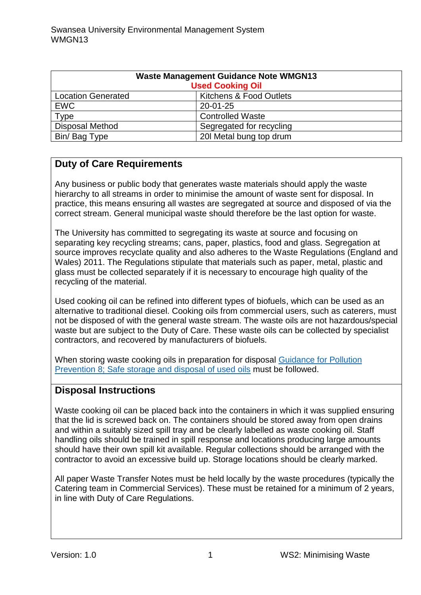| <b>Waste Management Guidance Note WMGN13</b><br><b>Used Cooking Oil</b> |                                    |
|-------------------------------------------------------------------------|------------------------------------|
| <b>Location Generated</b>                                               | <b>Kitchens &amp; Food Outlets</b> |
| <b>EWC</b>                                                              | $20 - 01 - 25$                     |
| <b>Type</b>                                                             | <b>Controlled Waste</b>            |
| <b>Disposal Method</b>                                                  | Segregated for recycling           |
| Bin/ Bag Type                                                           | 201 Metal bung top drum            |

## **Duty of Care Requirements**

Any business or public body that generates waste materials should apply the waste hierarchy to all streams in order to minimise the amount of waste sent for disposal. In practice, this means ensuring all wastes are segregated at source and disposed of via the correct stream. General municipal waste should therefore be the last option for waste.

The University has committed to segregating its waste at source and focusing on separating key recycling streams; cans, paper, plastics, food and glass. Segregation at source improves recyclate quality and also adheres to the Waste Regulations (England and Wales) 2011. The Regulations stipulate that materials such as paper, metal, plastic and glass must be collected separately if it is necessary to encourage high quality of the recycling of the material.

Used cooking oil can be refined into different types of biofuels, which can be used as an alternative to traditional diesel. Cooking oils from commercial users, such as caterers, must not be disposed of with the general waste stream. The waste oils are not hazardous/special waste but are subject to the Duty of Care. These waste oils can be collected by specialist contractors, and recovered by manufacturers of biofuels.

When storing waste cooking oils in preparation for disposal Guidance for Pollution [Prevention 8; Safe storage and disposal of used oils](http://www.netregs.org.uk/media/1435/gpp-8-v3-swni.pdf) must be followed.

## **Disposal Instructions**

Waste cooking oil can be placed back into the containers in which it was supplied ensuring that the lid is screwed back on. The containers should be stored away from open drains and within a suitably sized spill tray and be clearly labelled as waste cooking oil. Staff handling oils should be trained in spill response and locations producing large amounts should have their own spill kit available. Regular collections should be arranged with the contractor to avoid an excessive build up. Storage locations should be clearly marked.

All paper Waste Transfer Notes must be held locally by the waste procedures (typically the Catering team in Commercial Services). These must be retained for a minimum of 2 years, in line with Duty of Care Regulations.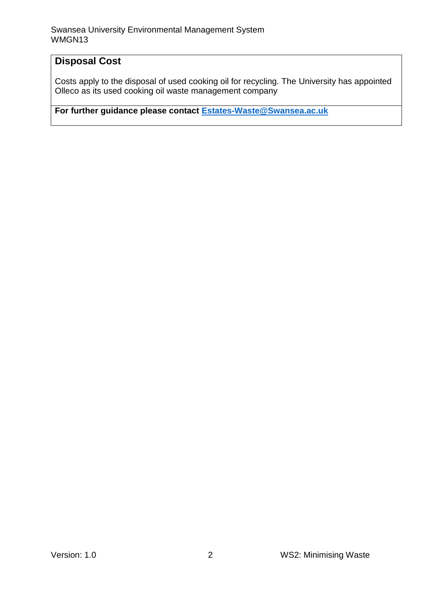## **Disposal Cost**

Costs apply to the disposal of used cooking oil for recycling. The University has appointed Olleco as its used cooking oil waste management company

**For further guidance please contact [Estates-Waste@Swansea.ac.uk](mailto:Estates-Waste@Swansea.ac.uk)**